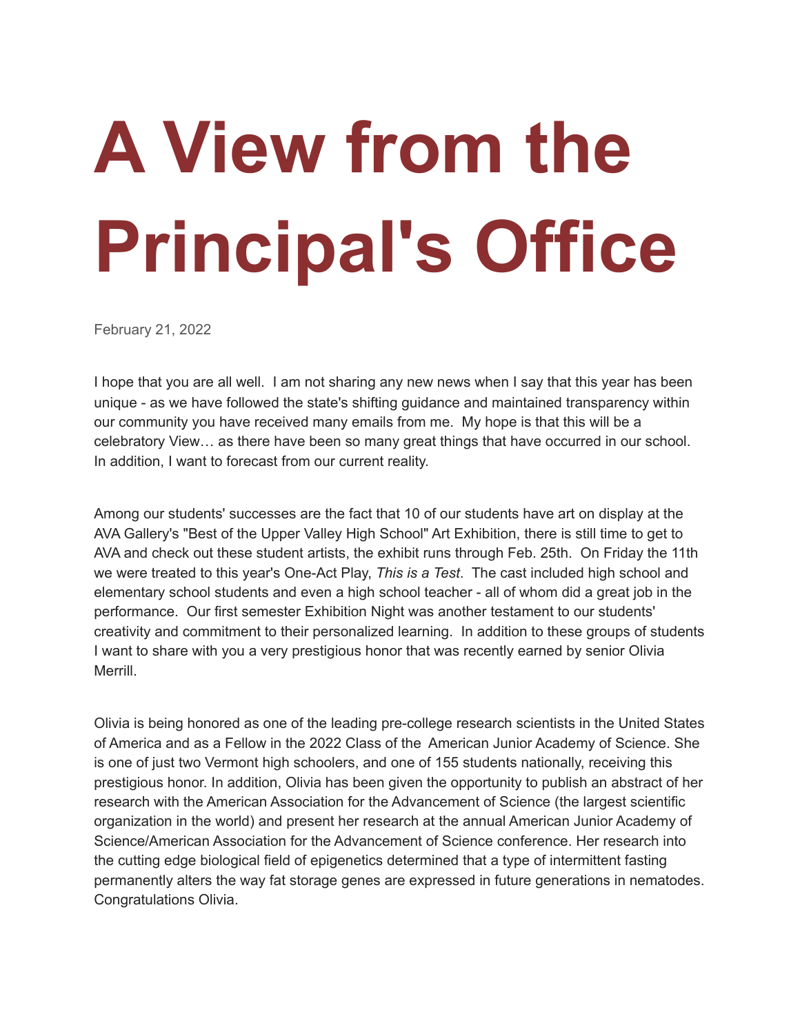## **A View from the Principal's Office**

February 21, 2022

I hope that you are all well. I am not sharing any new news when I say that this year has been unique - as we have followed the state's shifting guidance and maintained transparency within our community you have received many emails from me. My hope is that this will be a celebratory View… as there have been so many great things that have occurred in our school. In addition, I want to forecast from our current reality.

Among our students' successes are the fact that 10 of our students have art on display at the AVA Gallery's "Best of the Upper Valley High School" Art Exhibition, there is still time to get to AVA and check out these student artists, the exhibit runs through Feb. 25th. On Friday the 11th we were treated to this year's One-Act Play, *This is a Test*. The cast included high school and elementary school students and even a high school teacher - all of whom did a great job in the performance. Our first semester Exhibition Night was another testament to our students' creativity and commitment to their personalized learning. In addition to these groups of students I want to share with you a very prestigious honor that was recently earned by senior Olivia Merrill.

Olivia is being honored as one of the leading pre-college research scientists in the United States of America and as a Fellow in the 2022 Class of the American Junior Academy of Science. She is one of just two Vermont high schoolers, and one of 155 students nationally, receiving this prestigious honor. In addition, Olivia has been given the opportunity to publish an abstract of her research with the American Association for the Advancement of Science (the largest scientific organization in the world) and present her research at the annual American Junior Academy of Science/American Association for the Advancement of Science conference. Her research into the cutting edge biological field of epigenetics determined that a type of intermittent fasting permanently alters the way fat storage genes are expressed in future generations in nematodes. Congratulations Olivia.